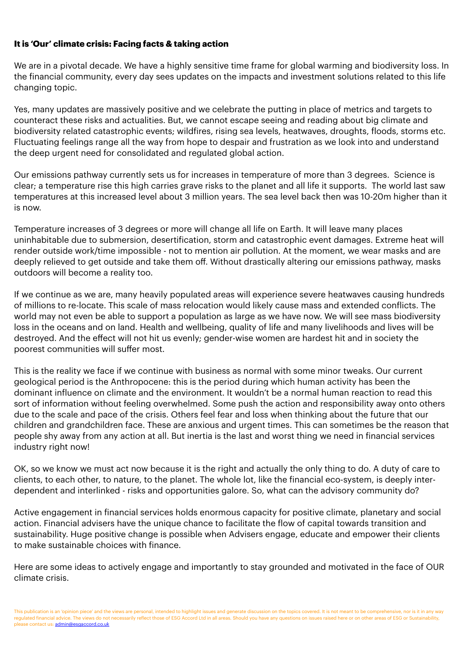## **It is 'Our' climate crisis: Facing facts & taking action**

We are in a pivotal decade. We have a highly sensitive time frame for global warming and biodiversity loss. In the financial community, every day sees updates on the impacts and investment solutions related to this life changing topic.

Yes, many updates are massively positive and we celebrate the putting in place of metrics and targets to counteract these risks and actualities. But, we cannot escape seeing and reading about big climate and biodiversity related catastrophic events; wildfires, rising sea levels, heatwaves, droughts, floods, storms etc. Fluctuating feelings range all the way from hope to despair and frustration as we look into and understand the deep urgent need for consolidated and regulated global action.

Our emissions pathway currently sets us for increases in temperature of more than 3 degrees. Science is clear; a temperature rise this high carries grave risks to the planet and all life it supports. The world last saw temperatures at this increased level about 3 million years. The sea level back then was 10-20m higher than it is now.

Temperature increases of 3 degrees or more will change all life on Earth. It will leave many places uninhabitable due to submersion, desertification, storm and catastrophic event damages. Extreme heat will render outside work/time impossible - not to mention air pollution. At the moment, we wear masks and are deeply relieved to get outside and take them off. Without drastically altering our emissions pathway, masks outdoors will become a reality too.

If we continue as we are, many heavily populated areas will experience severe heatwaves causing hundreds of millions to re-locate. This scale of mass relocation would likely cause mass and extended conflicts. The world may not even be able to support a population as large as we have now. We will see mass biodiversity loss in the oceans and on land. Health and wellbeing, quality of life and many livelihoods and lives will be destroyed. And the effect will not hit us evenly; gender-wise women are hardest hit and in society the poorest communities will suffer most.

This is the reality we face if we continue with business as normal with some minor tweaks. Our current geological period is the Anthropocene: this is the period during which human activity has been the dominant influence on climate and the environment. It wouldn't be a normal human reaction to read this sort of information without feeling overwhelmed. Some push the action and responsibility away onto others due to the scale and pace of the crisis. Others feel fear and loss when thinking about the future that our children and grandchildren face. These are anxious and urgent times. This can sometimes be the reason that people shy away from any action at all. But inertia is the last and worst thing we need in financial services industry right now!

OK, so we know we must act now because it is the right and actually the only thing to do. A duty of care to clients, to each other, to nature, to the planet. The whole lot, like the financial eco-system, is deeply interdependent and interlinked - risks and opportunities galore. So, what can the advisory community do?

Active engagement in financial services holds enormous capacity for positive climate, planetary and social action. Financial advisers have the unique chance to facilitate the flow of capital towards transition and sustainability. Huge positive change is possible when Advisers engage, educate and empower their clients to make sustainable choices with finance.

Here are some ideas to actively engage and importantly to stay grounded and motivated in the face of OUR climate crisis.

This publication is an 'opinion piece' and the views are personal, intended to highlight issues and generate discussion on the topics covered. It is not meant to be comprehensive, nor is it in any way regulated financial advice. The views do not necessarily reflect those of ESG Accord Ltd in all areas. Should you have any questions on issues raised here or on other areas of ESG or Sustainability, please contact us: [admin@esgaccord.co.uk](mailto:admin@esgaccord.co.uk)